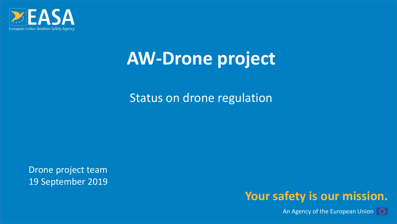

### **AW-Drone project**

### Status on drone regulation

Drone project team 19 September 2019



An Agency of the European Union  $\|\heartsuit\|$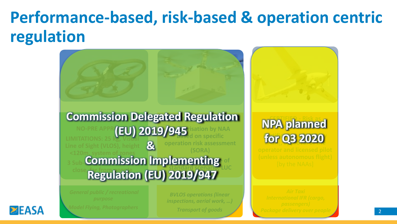### **Performance-based, risk-based & operation centric regulation**



23 January 2019

**EASA** 

*BVLOS operations (linear inspections, aerial work, …)*

*Transport of goods*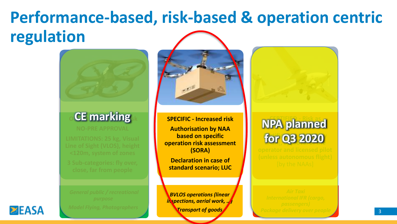### **Performance-based, risk-based & operation centric regulation**

# **CE marking**

23 January 2019





**SPECIFIC - Increased risk Authorisation by NAA based on specific operation risk assessment (SORA) CE marking and <b>SPECIFIC** - Increased risk **NPA planned** 

> **Declaration in case of standard scenario; LUC**

*BVLOS operations (linear inspections, aerial work, …)*

*Transport of goods*

#### **CERTIFIED - Risk as**  for 03.2020 EASA]**, approval of the for Q3 2020**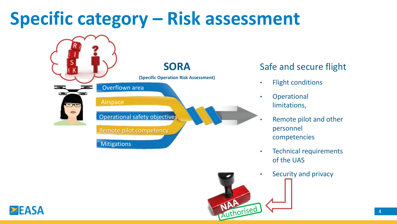### **Specific category – Risk assessment**



#### Safe and secure flight

- Flight conditions
- Operational limitations,
- Remote pilot and other personnel competencies
- Technical requirements of the UAS
- Security and privacy

NATIONSED

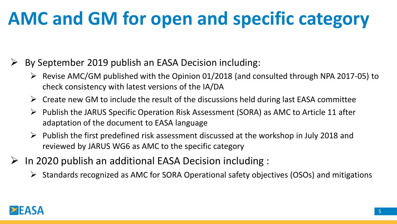### **AMC and GM for open and specific category**

- By September 2019 publish an EASA Decision including:
	- ➢ Revise AMC/GM published with the Opinion 01/2018 (and consulted through NPA 2017-05) to check consistency with latest versions of the IA/DA
	- $\triangleright$  Create new GM to include the result of the discussions held during last EASA committee
	- ➢ Publish the JARUS Specific Operation Risk Assessment (SORA) as AMC to Article 11 after adaptation of the document to EASA language
	- $\triangleright$  Publish the first predefined risk assessment discussed at the workshop in July 2018 and reviewed by JARUS WG6 as AMC to the specific category
- In 2020 publish an additional EASA Decision including :
	- ➢ Standards recognized as AMC for SORA Operational safety objectives (OSOs) and mitigations

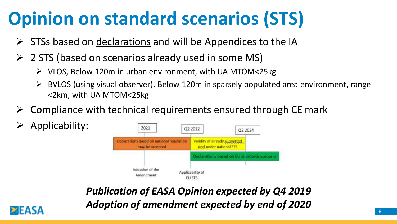### **Opinion on standard scenarios (STS)**

- $\triangleright$  STSs based on declarations and will be Appendices to the IA
- ➢ 2 STS (based on scenarios already used in some MS)
	- ➢ VLOS, Below 120m in urban environment, with UA MTOM<25kg
	- ➢ BVLOS (using visual observer), Below 120m in sparsely populated area environment, range <2km, with UA MTOM<25kg
- ➢ Compliance with technical requirements ensured through CE mark
- ➢ Applicability:



*Publication of EASA Opinion expected by Q4 2019 Adoption of amendment expected by end of 2020*

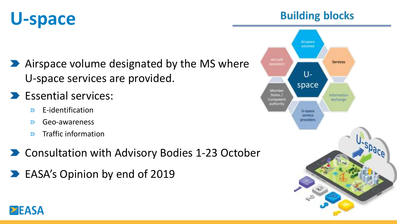## **U-space**

- Airspace volume designated by the MS where U-space services are provided.
- **Essential services:** 
	- E-identification  $\mathbf{D}$
	- Geo-awareness  $\mathbf{D}$
	- Traffic information  $\sum$
- **D** Consultation with Advisory Bodies 1-23 October
- **EASA's Opinion by end of 2019**



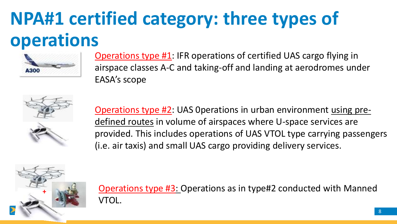### **NPA#1 certified category: three types of operations**



Operations type #1: IFR operations of certified UAS cargo flying in airspace classes A-C and taking-off and landing at aerodromes under EASA's scope



Operations type #2: UAS 0perations in urban environment using predefined routes in volume of airspaces where U-space services are provided. This includes operations of UAS VTOL type carrying passengers (i.e. air taxis) and small UAS cargo providing delivery services.



Operations type #3: Operations as in type#2 conducted with Manned VTOL.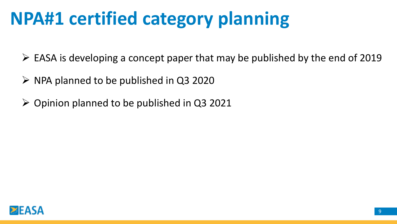### **NPA#1 certified category planning**

 $\triangleright$  EASA is developing a concept paper that may be published by the end of 2019

- ➢ NPA planned to be published in Q3 2020
- $\triangleright$  Opinion planned to be published in Q3 2021